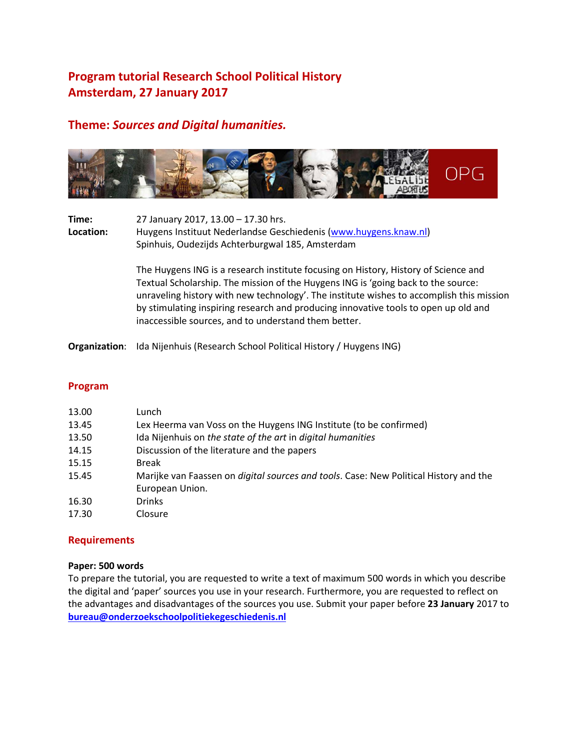# **Program tutorial Research School Political History Amsterdam, 27 January 2017**

## **Theme:** *Sources and Digital humanities.*



| Time:<br><b>Location:</b> | 27 January 2017, 13.00 - 17.30 hrs.<br>Huygens Instituut Nederlandse Geschiedenis (www.huygens.knaw.nl)<br>Spinhuis, Oudezijds Achterburgwal 185, Amsterdam |
|---------------------------|-------------------------------------------------------------------------------------------------------------------------------------------------------------|
|                           | The Huygens ING is a research institute focusing on History, History of Science and                                                                         |

Textual Scholarship. The mission of the Huygens ING is 'going back to the source: unraveling history with new technology'. The institute wishes to accomplish this mission by stimulating inspiring research and producing innovative tools to open up old and inaccessible sources, and to understand them better.

**Organization**: Ida Nijenhuis (Research School Political History / Huygens ING)

#### **Program**

| 13.00 | Lunch                                                                                         |
|-------|-----------------------------------------------------------------------------------------------|
| 13.45 | Lex Heerma van Voss on the Huygens ING Institute (to be confirmed)                            |
| 13.50 | Ida Nijenhuis on the state of the art in digital humanities                                   |
| 14.15 | Discussion of the literature and the papers                                                   |
| 15.15 | <b>Break</b>                                                                                  |
| 15.45 | Marijke van Faassen on <i>digital sources and tools</i> . Case: New Political History and the |
|       | European Union.                                                                               |
| 16.30 | <b>Drinks</b>                                                                                 |
| 17.30 | Closure                                                                                       |

#### **Requirements**

#### **Paper: 500 words**

To prepare the tutorial, you are requested to write a text of maximum 500 words in which you describe the digital and 'paper' sources you use in your research. Furthermore, you are requested to reflect on the advantages and disadvantages of the sources you use. Submit your paper before **23 January** 2017 to **[bureau@onderzoekschoolpolitiekegeschiedenis.nl](mailto:bureau@onderzoekschoolpolitiekegeschiedenis.nl)**